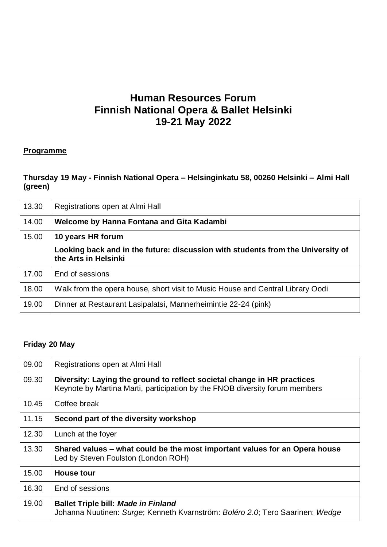# **Human Resources Forum Finnish National Opera & Ballet Helsinki 19-21 May 2022**

### **Programme**

## **Thursday 19 May - Finnish National Opera – Helsinginkatu 58, 00260 Helsinki – Almi Hall (green)**

| 13.30 | Registrations open at Almi Hall                                                                         |
|-------|---------------------------------------------------------------------------------------------------------|
| 14.00 | Welcome by Hanna Fontana and Gita Kadambi                                                               |
| 15.00 | 10 years HR forum                                                                                       |
|       | Looking back and in the future: discussion with students from the University of<br>the Arts in Helsinki |
| 17.00 | End of sessions                                                                                         |
| 18.00 | Walk from the opera house, short visit to Music House and Central Library Oodi                          |
| 19.00 | Dinner at Restaurant Lasipalatsi, Mannerheimintie 22-24 (pink)                                          |

#### **Friday 20 May**

| 09.00 | Registrations open at Almi Hall                                                                                                                        |
|-------|--------------------------------------------------------------------------------------------------------------------------------------------------------|
| 09.30 | Diversity: Laying the ground to reflect societal change in HR practices<br>Keynote by Martina Marti, participation by the FNOB diversity forum members |
| 10.45 | Coffee break                                                                                                                                           |
| 11.15 | Second part of the diversity workshop                                                                                                                  |
| 12.30 | Lunch at the foyer                                                                                                                                     |
| 13.30 | Shared values – what could be the most important values for an Opera house<br>Led by Steven Foulston (London ROH)                                      |
| 15.00 | <b>House tour</b>                                                                                                                                      |
| 16.30 | End of sessions                                                                                                                                        |
| 19.00 | <b>Ballet Triple bill: Made in Finland</b><br>Johanna Nuutinen: Surge; Kenneth Kvarnström: Boléro 2.0; Tero Saarinen: Wedge                            |